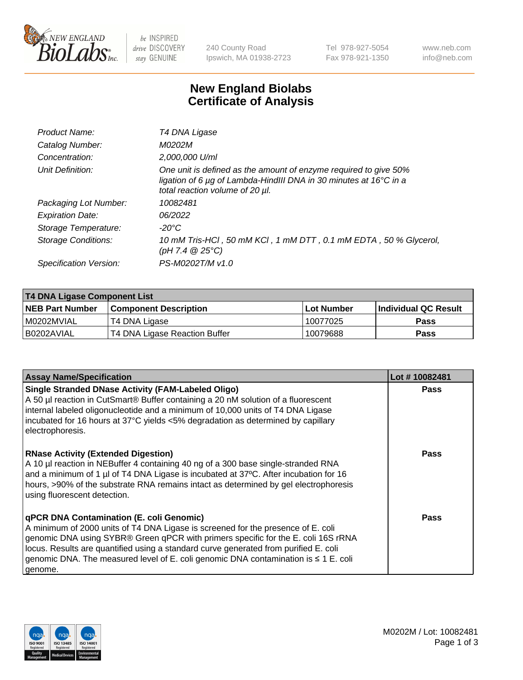

 $be$  INSPIRED drive DISCOVERY stay GENUINE

240 County Road Ipswich, MA 01938-2723 Tel 978-927-5054 Fax 978-921-1350 www.neb.com info@neb.com

## **New England Biolabs Certificate of Analysis**

| Product Name:              | T4 DNA Ligase                                                                                                                                                                           |
|----------------------------|-----------------------------------------------------------------------------------------------------------------------------------------------------------------------------------------|
| Catalog Number:            | M0202M                                                                                                                                                                                  |
| Concentration:             | 2,000,000 U/ml                                                                                                                                                                          |
| Unit Definition:           | One unit is defined as the amount of enzyme required to give 50%<br>ligation of 6 $\mu$ g of Lambda-HindIII DNA in 30 minutes at 16 $\degree$ C in a<br>total reaction volume of 20 µl. |
| Packaging Lot Number:      | 10082481                                                                                                                                                                                |
| <b>Expiration Date:</b>    | 06/2022                                                                                                                                                                                 |
| Storage Temperature:       | -20°C                                                                                                                                                                                   |
| <b>Storage Conditions:</b> | 10 mM Tris-HCl, 50 mM KCl, 1 mM DTT, 0.1 mM EDTA, 50 % Glycerol,<br>(pH 7.4 $@25°C$ )                                                                                                   |
| Specification Version:     | PS-M0202T/M v1.0                                                                                                                                                                        |
|                            |                                                                                                                                                                                         |

| T4 DNA Ligase Component List |                               |              |                             |  |
|------------------------------|-------------------------------|--------------|-----------------------------|--|
| <b>NEB Part Number</b>       | l Component Description       | l Lot Number | <b>Individual QC Result</b> |  |
| I M0202MVIAL                 | T4 DNA Ligase                 | 10077025     | <b>Pass</b>                 |  |
| I B0202AVIAL                 | T4 DNA Ligase Reaction Buffer | 10079688     | <b>Pass</b>                 |  |

| <b>Assay Name/Specification</b>                                                                                                                                                                                                                                                                                                                                                                             | Lot #10082481 |
|-------------------------------------------------------------------------------------------------------------------------------------------------------------------------------------------------------------------------------------------------------------------------------------------------------------------------------------------------------------------------------------------------------------|---------------|
| <b>Single Stranded DNase Activity (FAM-Labeled Oligo)</b><br>A 50 µl reaction in CutSmart® Buffer containing a 20 nM solution of a fluorescent<br>internal labeled oligonucleotide and a minimum of 10,000 units of T4 DNA Ligase<br>incubated for 16 hours at 37°C yields <5% degradation as determined by capillary<br>electrophoresis.                                                                   | <b>Pass</b>   |
| <b>RNase Activity (Extended Digestion)</b><br>A 10 µl reaction in NEBuffer 4 containing 40 ng of a 300 base single-stranded RNA<br>and a minimum of 1 µl of T4 DNA Ligase is incubated at 37°C. After incubation for 16<br>hours, >90% of the substrate RNA remains intact as determined by gel electrophoresis<br>using fluorescent detection.                                                             | <b>Pass</b>   |
| qPCR DNA Contamination (E. coli Genomic)<br>A minimum of 2000 units of T4 DNA Ligase is screened for the presence of E. coli<br>genomic DNA using SYBR® Green qPCR with primers specific for the E. coli 16S rRNA<br>locus. Results are quantified using a standard curve generated from purified E. coli<br>genomic DNA. The measured level of E. coli genomic DNA contamination is ≤ 1 E. coli<br>genome. | Pass          |

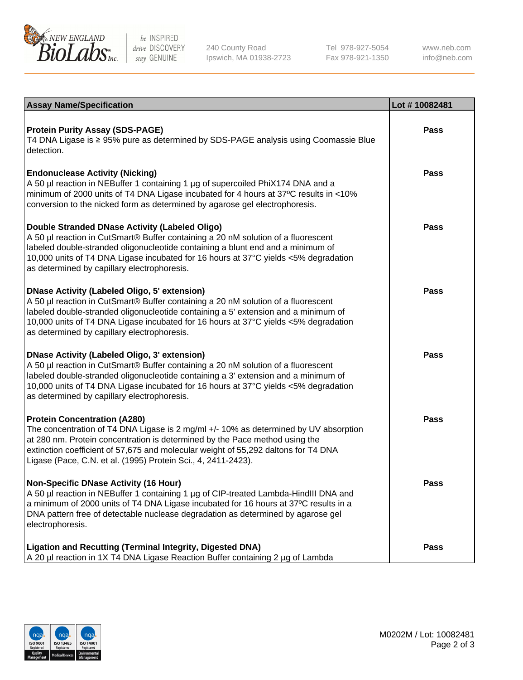

be INSPIRED drive DISCOVERY stay GENUINE

240 County Road Ipswich, MA 01938-2723 Tel 978-927-5054 Fax 978-921-1350

www.neb.com info@neb.com

| <b>Assay Name/Specification</b>                                                                                                                                                                                                                                                                                                                                      | Lot #10082481 |
|----------------------------------------------------------------------------------------------------------------------------------------------------------------------------------------------------------------------------------------------------------------------------------------------------------------------------------------------------------------------|---------------|
| <b>Protein Purity Assay (SDS-PAGE)</b><br>T4 DNA Ligase is ≥ 95% pure as determined by SDS-PAGE analysis using Coomassie Blue<br>detection.                                                                                                                                                                                                                          | <b>Pass</b>   |
| <b>Endonuclease Activity (Nicking)</b><br>A 50 µl reaction in NEBuffer 1 containing 1 µg of supercoiled PhiX174 DNA and a<br>minimum of 2000 units of T4 DNA Ligase incubated for 4 hours at 37°C results in <10%<br>conversion to the nicked form as determined by agarose gel electrophoresis.                                                                     | <b>Pass</b>   |
| Double Stranded DNase Activity (Labeled Oligo)<br>A 50 µl reaction in CutSmart® Buffer containing a 20 nM solution of a fluorescent<br>labeled double-stranded oligonucleotide containing a blunt end and a minimum of<br>10,000 units of T4 DNA Ligase incubated for 16 hours at 37°C yields <5% degradation<br>as determined by capillary electrophoresis.         | <b>Pass</b>   |
| <b>DNase Activity (Labeled Oligo, 5' extension)</b><br>A 50 µl reaction in CutSmart® Buffer containing a 20 nM solution of a fluorescent<br>labeled double-stranded oligonucleotide containing a 5' extension and a minimum of<br>10,000 units of T4 DNA Ligase incubated for 16 hours at 37°C yields <5% degradation<br>as determined by capillary electrophoresis. | <b>Pass</b>   |
| <b>DNase Activity (Labeled Oligo, 3' extension)</b><br>A 50 µl reaction in CutSmart® Buffer containing a 20 nM solution of a fluorescent<br>labeled double-stranded oligonucleotide containing a 3' extension and a minimum of<br>10,000 units of T4 DNA Ligase incubated for 16 hours at 37°C yields <5% degradation<br>as determined by capillary electrophoresis. | <b>Pass</b>   |
| <b>Protein Concentration (A280)</b><br>The concentration of T4 DNA Ligase is 2 mg/ml +/- 10% as determined by UV absorption<br>at 280 nm. Protein concentration is determined by the Pace method using the<br>extinction coefficient of 57,675 and molecular weight of 55,292 daltons for T4 DNA<br>Ligase (Pace, C.N. et al. (1995) Protein Sci., 4, 2411-2423).    | <b>Pass</b>   |
| <b>Non-Specific DNase Activity (16 Hour)</b><br>A 50 µl reaction in NEBuffer 1 containing 1 µg of CIP-treated Lambda-HindIII DNA and<br>a minimum of 2000 units of T4 DNA Ligase incubated for 16 hours at 37°C results in a<br>DNA pattern free of detectable nuclease degradation as determined by agarose gel<br>electrophoresis.                                 | Pass          |
| <b>Ligation and Recutting (Terminal Integrity, Digested DNA)</b><br>A 20 µl reaction in 1X T4 DNA Ligase Reaction Buffer containing 2 µg of Lambda                                                                                                                                                                                                                   | <b>Pass</b>   |